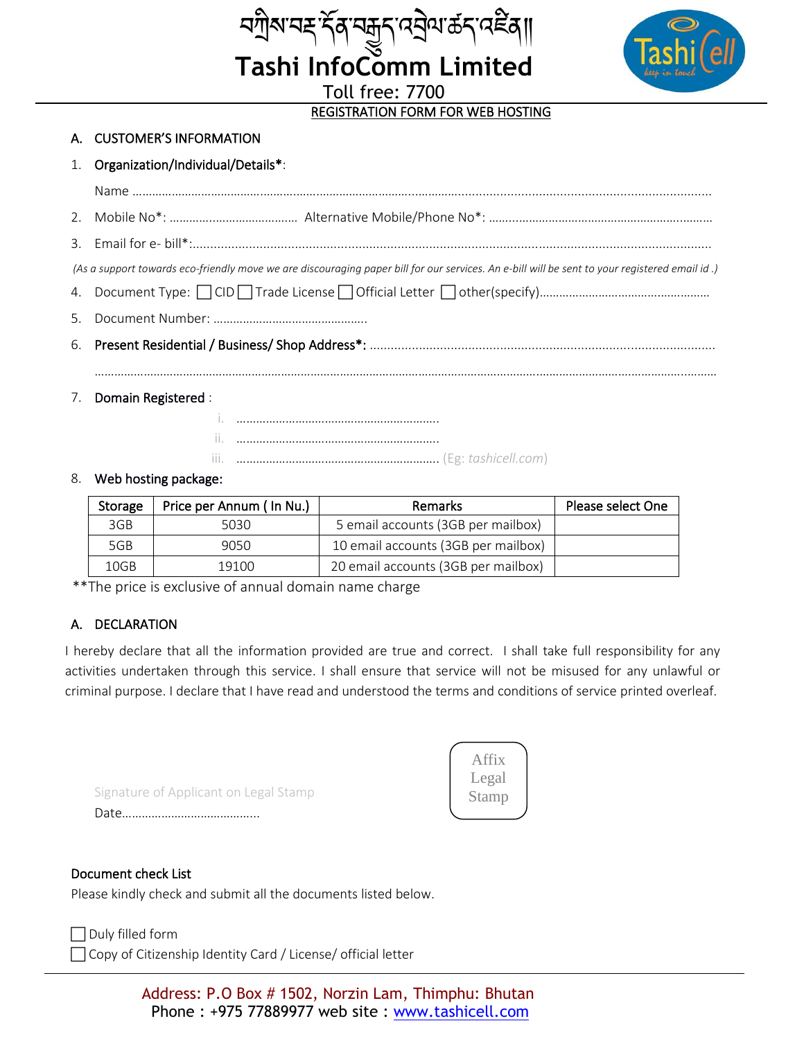

# REGISTRATION FORM FOR WEB HOSTING

*মন্ত্ৰী* সম্ভূষ্ণ বেট্ৰাম ক্ৰম কৰি সম্ভিদ্য<br>Tashi InfoComm Limited

Toll free: 7700

## A. CUSTOMER'S INFORMATION

## 1. Organization/Individual/Details\*:

| (As a support towards eco-friendly move we are discouraging paper bill for our services. An e-bill will be sent to your registered email id.) |
|-----------------------------------------------------------------------------------------------------------------------------------------------|
|                                                                                                                                               |
|                                                                                                                                               |
|                                                                                                                                               |
|                                                                                                                                               |
| 7. Domain Registered :                                                                                                                        |
|                                                                                                                                               |
|                                                                                                                                               |
|                                                                                                                                               |

#### 8. Web hosting package:

| Storage | Price per Annum (In Nu.) | Remarks                             | Please select One |
|---------|--------------------------|-------------------------------------|-------------------|
| 3GB     | 5030                     | 5 email accounts (3GB per mailbox)  |                   |
| 5GB     | 9050                     | 10 email accounts (3GB per mailbox) |                   |
| 10GB    | 19100                    | 20 email accounts (3GB per mailbox) |                   |

\*\*The price is exclusive of annual domain name charge

# A. DECLARATION

I hereby declare that all the information provided are true and correct. I shall take full responsibility for any activities undertaken through this service. I shall ensure that service will not be misused for any unlawful or criminal purpose. I declare that I have read and understood the terms and conditions of service printed overleaf.

Signature of Applicant on Legal Stamp Date…………………………………...



### Document check List

Please kindly check and submit all the documents listed below.

#### Duly filled form

□ Copy of Citizenship Identity Card / License/ official letter

Address: P.O Box # 1502, Norzin Lam, Thimphu: Bhutan Phone : +975 77889977 web site : www.tashicell.com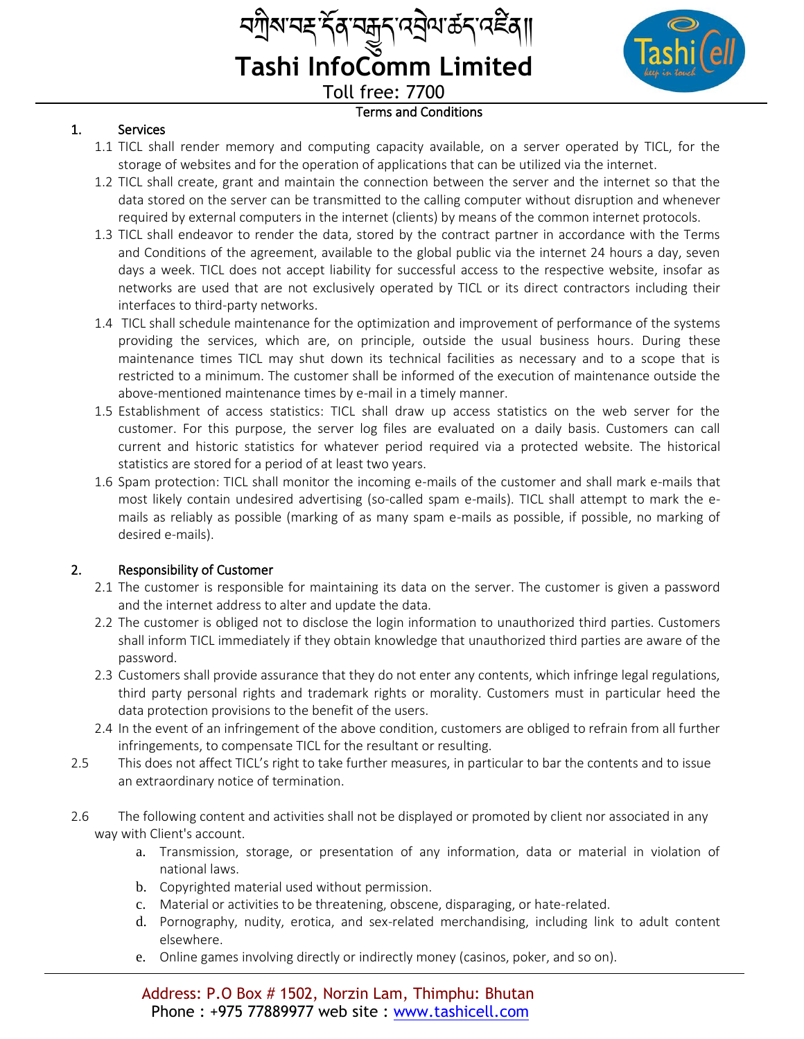| <i>ଵ</i> ग़ॆ॒ॺॱॺॾॱॸॣ॔ॺऺॱॼऀय़ऀ॑ॱॳॷॴॷॴॴ |  |
|---------------------------------------|--|
| <b>Tashi InfoComm Limited</b>         |  |
| <b>Toll free: 7700</b>                |  |

# 1. Services

1.1 TICL shall render memory and computing capacity available, on a server operated by TICL, for the storage of websites and for the operation of applications that can be utilized via the internet.

Terms and Conditions

- 1.2 TICL shall create, grant and maintain the connection between the server and the internet so that the data stored on the server can be transmitted to the calling computer without disruption and whenever required by external computers in the internet (clients) by means of the common internet protocols.
- 1.3 TICL shall endeavor to render the data, stored by the contract partner in accordance with the Terms and Conditions of the agreement, available to the global public via the internet 24 hours a day, seven days a week. TICL does not accept liability for successful access to the respective website, insofar as networks are used that are not exclusively operated by TICL or its direct contractors including their interfaces to third-party networks.
- 1.4 TICL shall schedule maintenance for the optimization and improvement of performance of the systems providing the services, which are, on principle, outside the usual business hours. During these maintenance times TICL may shut down its technical facilities as necessary and to a scope that is restricted to a minimum. The customer shall be informed of the execution of maintenance outside the above-mentioned maintenance times by e-mail in a timely manner.
- 1.5 Establishment of access statistics: TICL shall draw up access statistics on the web server for the customer. For this purpose, the server log files are evaluated on a daily basis. Customers can call current and historic statistics for whatever period required via a protected website. The historical statistics are stored for a period of at least two years.
- 1.6 Spam protection: TICL shall monitor the incoming e-mails of the customer and shall mark e-mails that most likely contain undesired advertising (so-called spam e-mails). TICL shall attempt to mark the emails as reliably as possible (marking of as many spam e-mails as possible, if possible, no marking of desired e-mails).

# 2. Responsibility of Customer

- 2.1 The customer is responsible for maintaining its data on the server. The customer is given a password and the internet address to alter and update the data.
- 2.2 The customer is obliged not to disclose the login information to unauthorized third parties. Customers shall inform TICL immediately if they obtain knowledge that unauthorized third parties are aware of the password.
- 2.3 Customers shall provide assurance that they do not enter any contents, which infringe legal regulations, third party personal rights and trademark rights or morality. Customers must in particular heed the data protection provisions to the benefit of the users.
- 2.4 In the event of an infringement of the above condition, customers are obliged to refrain from all further infringements, to compensate TICL for the resultant or resulting.
- 2.5 This does not affect TICL's right to take further measures, in particular to bar the contents and to issue an extraordinary notice of termination.
- 2.6 The following content and activities shall not be displayed or promoted by client nor associated in any way with Client's account.
	- a. Transmission, storage, or presentation of any information, data or material in violation of national laws.
	- b. Copyrighted material used without permission.
	- c. Material or activities to be threatening, obscene, disparaging, or hate-related.
	- d. Pornography, nudity, erotica, and sex-related merchandising, including link to adult content elsewhere.
	- e. Online games involving directly or indirectly money (casinos, poker, and so on).

Address: P.O Box # 1502, Norzin Lam, Thimphu: Bhutan Phone : +975 77889977 web site : www.tashicell.com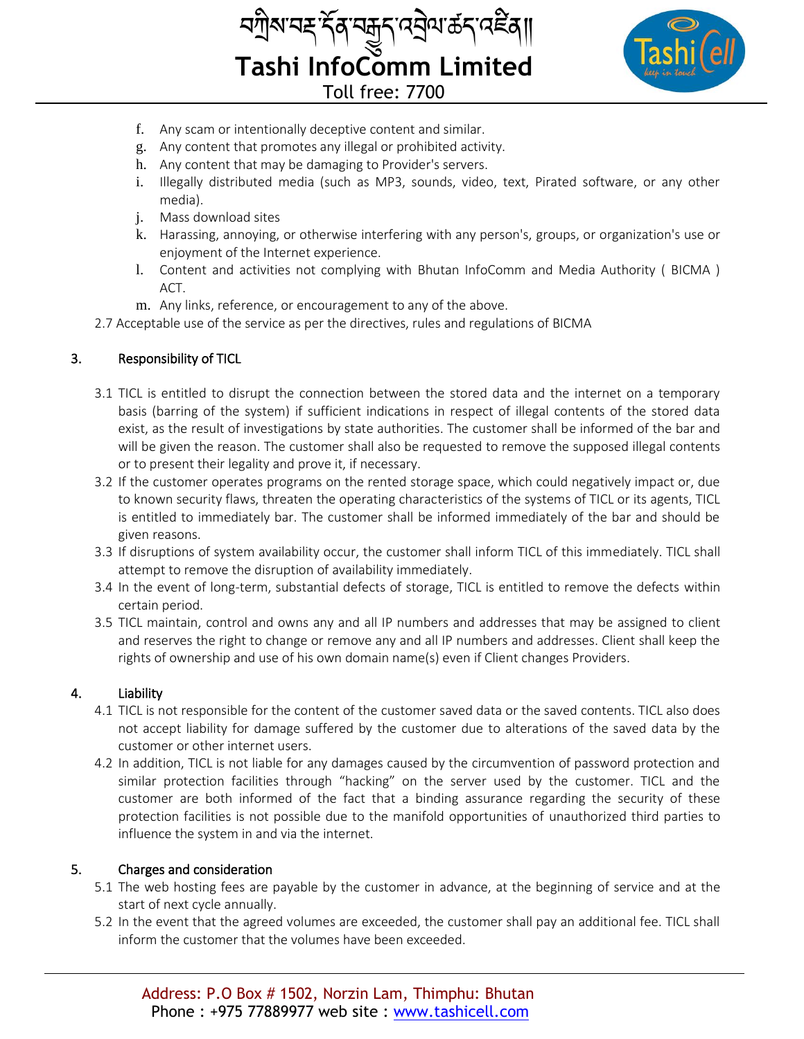



- f. Any scam or intentionally deceptive content and similar.
- g. Any content that promotes any illegal or prohibited activity.
- h. Any content that may be damaging to Provider's servers.
- i. Illegally distributed media (such as MP3, sounds, video, text, Pirated software, or any other media).
- j. Mass download sites
- k. Harassing, annoying, or otherwise interfering with any person's, groups, or organization's use or enjoyment of the Internet experience.
- l. Content and activities not complying with Bhutan InfoComm and Media Authority ( BICMA ) ACT.
- m. Any links, reference, or encouragement to any of the above.

2.7 Acceptable use of the service as per the directives, rules and regulations of BICMA

# 3. Responsibility of TICL

- 3.1 TICL is entitled to disrupt the connection between the stored data and the internet on a temporary basis (barring of the system) if sufficient indications in respect of illegal contents of the stored data exist, as the result of investigations by state authorities. The customer shall be informed of the bar and will be given the reason. The customer shall also be requested to remove the supposed illegal contents or to present their legality and prove it, if necessary.
- 3.2 If the customer operates programs on the rented storage space, which could negatively impact or, due to known security flaws, threaten the operating characteristics of the systems of TICL or its agents, TICL is entitled to immediately bar. The customer shall be informed immediately of the bar and should be given reasons.
- 3.3 If disruptions of system availability occur, the customer shall inform TICL of this immediately. TICL shall attempt to remove the disruption of availability immediately.
- 3.4 In the event of long-term, substantial defects of storage, TICL is entitled to remove the defects within certain period.
- 3.5 TICL maintain, control and owns any and all IP numbers and addresses that may be assigned to client and reserves the right to change or remove any and all IP numbers and addresses. Client shall keep the rights of ownership and use of his own domain name(s) even if Client changes Providers.

## 4. Liability

- 4.1 TICL is not responsible for the content of the customer saved data or the saved contents. TICL also does not accept liability for damage suffered by the customer due to alterations of the saved data by the customer or other internet users.
- 4.2 In addition, TICL is not liable for any damages caused by the circumvention of password protection and similar protection facilities through "hacking" on the server used by the customer. TICL and the customer are both informed of the fact that a binding assurance regarding the security of these protection facilities is not possible due to the manifold opportunities of unauthorized third parties to influence the system in and via the internet.

## 5. Charges and consideration

- 5.1 The web hosting fees are payable by the customer in advance, at the beginning of service and at the start of next cycle annually.
- 5.2 In the event that the agreed volumes are exceeded, the customer shall pay an additional fee. TICL shall inform the customer that the volumes have been exceeded.